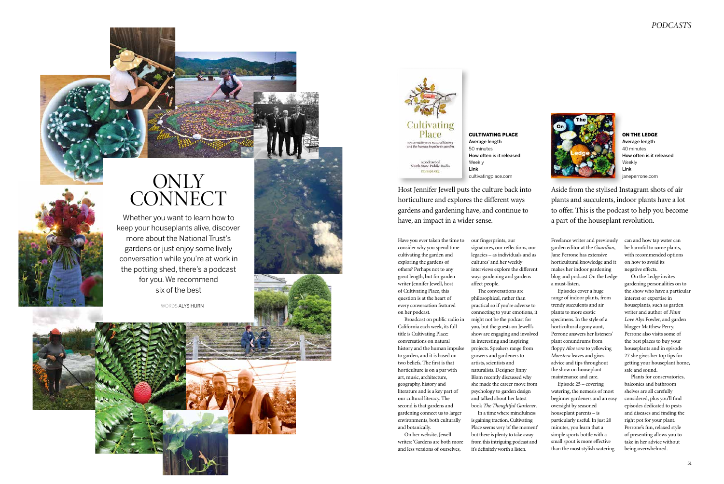Freelance writer and previously garden editor at the *Guardian*, Jane Perrone has extensive horticultural knowledge and it makes her indoor gardening blog and podcast On the Ledge a must-listen.

Episodes cover a huge range of indoor plants, from trendy succulents and air plants to more exotic specimens. In the style of a horticultural agony aunt, Perrone answers her listeners' plant conundrums from floppy *Aloe vera* to yellowing *Monstera* leaves and gives advice and tips throughout the show on houseplant maintenance and care.

Episode 25 – covering watering, the nemesis of most beginner gardeners and an easy oversight by seasoned houseplant parents – is particularly useful. In just 20 minutes, you learn that a simple sports bottle with a small spout is more effective than the most stylish watering

can and how tap water can be harmful to some plants, with recommended options on how to avoid its negative effects.

On the Ledge invites gardening personalities on to the show who have a particular interest or expertise in houseplants, such as garden writer and author of *Plant Love* Alys Fowler, and garden blogger Matthew Perry. Perrone also visits some of the best places to buy your houseplants and in episode 27 she gives her top tips for getting your houseplant home, safe and sound.

Plants for conservatories, balconies and bathroom shelves are all carefully considered, plus you'll find episodes dedicated to pests and diseases and finding the right pot for your plant. Perrone's fun, relaxed style of presenting allows you to take in her advice without being overwhelmed.





## ONLY CONNECT

Have you ever taken the time to consider why you spend time cultivating the garden and exploring the gardens of others? Perhaps not to any great length, but for garden writer Jennifer Jewell, host of Cultivating Place, this question is at the heart of every conversation featured on her podcast.

Broadcast on public radio in California each week, its full title is Cultivating Place: conversations on natural history and the human impulse to garden, and it is based on two beliefs. The first is that horticulture is on a par with art, music, architecture, geography, history and literature and is a key part of our cultural literacy. The second is that gardens and gardening connect us to larger environments, both culturally and botanically.

On her website, Jewell writes: 'Gardens are both more and less versions of ourselves,

our fingerprints, our signatures, our reflections, our legacies – as individuals and as cultures' and her weekly interviews explore the different ways gardening and gardens affect people. The conversations are philosophical, rather than

practical so if you're adverse to connecting to your emotions, it might not be the podcast for you, but the guests on Jewell's show are engaging and involved in interesting and inspiring projects. Speakers range from growers and gardeners to artists, scientists and In a time where mindfulness

naturalists. Designer Jinny Blom recently discussed why she made the career move from psychology to garden design and talked about her latest book *The Thoughtful Gardener*. is gaining traction, Cultivating Place seems very 'of the moment' but there is plenty to take away from this intriguing podcast and it's definitely worth a listen.

Whether you want to learn how to keep your houseplants alive, discover more about the National Trust's gardens or just enjoy some lively conversation while you're at work in the potting shed, there's a podcast for you. We recommend six of the best

WORDS ALYS HURN





 $% \left\langle \left( \lambda \right) \right\rangle$  a podeast of North State Public Radio mynspr.org

> Aside from the stylised Instagram shots of air plants and succulents, indoor plants have a lot to offer. This is the podcast to help you become a part of the houseplant revolution.

gardens and gardening have, and continue to

have, an impact in a wider sense.

Host Jennifer Jewell puts the culture back into horticulture and explores the different ways Link cultivatingplace.com



ON THE LEDGE Average length 40 minutes How often is it released Weekly Link janeperrone.com

CULTIVATING PLACE

Average length 50 minutes

How often is it released

Weekly

## *PODCASTS*